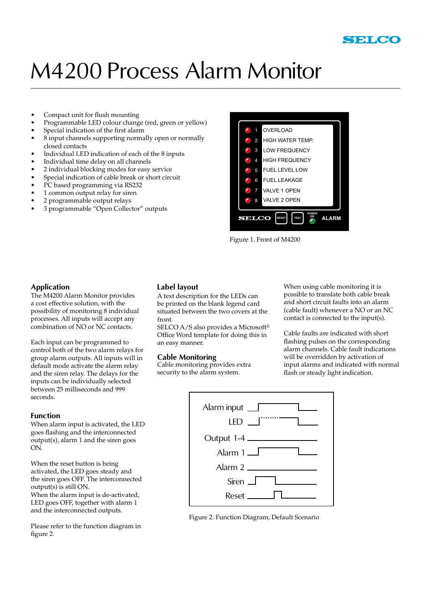

# M4200 Process Alarm Monitor

- Compact unit for flush mounting •
- Programmable LED colour change (red, green or yellow) •
- Special indication of the first alarm •
- 8 input channels supporting normally open or normally closed contacts •
- Individual LED indication of each of the 8 inputs •
- Individual time delay on all channels •
- 2 individual blocking modes for easy service •
- Special indication of cable break or short circuit •
- PC based programming via RS232 •
- 1 common output relay for siren •
- 2 programmable output relays •
- 3 programmable "Open Collector" outputs •



Figure 1. Front of M4200

### **Application**

The M4200 Alarm Monitor provides a cost effective solution, with the possibility of monitoring 8 individual processes. All inputs will accept any combination of NO or NC contacts.

Each input can be programmed to control both of the two alarm relays for group alarm outputs. All inputs will in default mode activate the alarm relay and the siren relay. The delays for the inputs can be individually selected between 25 milliseconds and 999 seconds.

### **Function**

When alarm input is activated, the LED goes flashing and the interconnected output(s), alarm 1 and the siren goes ON.

When the reset button is being activated, the LED goes steady and the siren goes OFF. The interconnected output(s) is still ON. When the alarm input is de-activated, LED goes OFF, together with alarm 1 and the interconnected outputs.

Please refer to the function diagram in figure 2.

### **Label layout**

A text description for the LEDs can be printed on the blank legend card situated between the two covers at the front.

SELCO A/S also provides a Microsoft® Office Word template for doing this in an easy manner.

### **Cable Monitoring**

Cable monitoring provides extra security to the alarm system.

When using cable monitoring it is possible to translate both cable break and short circuit faults into an alarm (cable fault) whenever a NO or an NC contact is connected to the input(s).

Cable faults are indicated with short flashing pulses on the corresponding alarm channels. Cable fault indications will be overridden by activation of input alarms and indicated with normal flash or steady light indication.



Figure 2. Function Diagram, Default Scenario